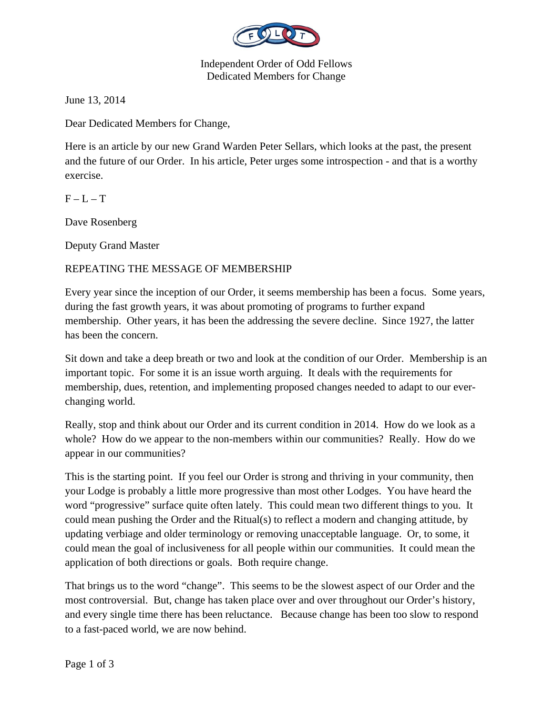

Independent Order of Odd Fellows Dedicated Members for Change

June 13, 2014

Dear Dedicated Members for Change,

Here is an article by our new Grand Warden Peter Sellars, which looks at the past, the present and the future of our Order. In his article, Peter urges some introspection - and that is a worthy exercise.

 $F - L - T$ 

Dave Rosenberg

Deputy Grand Master

## REPEATING THE MESSAGE OF MEMBERSHIP

Every year since the inception of our Order, it seems membership has been a focus. Some years, during the fast growth years, it was about promoting of programs to further expand membership. Other years, it has been the addressing the severe decline. Since 1927, the latter has been the concern.

Sit down and take a deep breath or two and look at the condition of our Order. Membership is an important topic. For some it is an issue worth arguing. It deals with the requirements for membership, dues, retention, and implementing proposed changes needed to adapt to our everchanging world.

Really, stop and think about our Order and its current condition in 2014. How do we look as a whole? How do we appear to the non-members within our communities? Really. How do we appear in our communities?

This is the starting point. If you feel our Order is strong and thriving in your community, then your Lodge is probably a little more progressive than most other Lodges. You have heard the word "progressive" surface quite often lately. This could mean two different things to you. It could mean pushing the Order and the Ritual(s) to reflect a modern and changing attitude, by updating verbiage and older terminology or removing unacceptable language. Or, to some, it could mean the goal of inclusiveness for all people within our communities. It could mean the application of both directions or goals. Both require change.

That brings us to the word "change". This seems to be the slowest aspect of our Order and the most controversial. But, change has taken place over and over throughout our Order's history, and every single time there has been reluctance. Because change has been too slow to respond to a fast-paced world, we are now behind.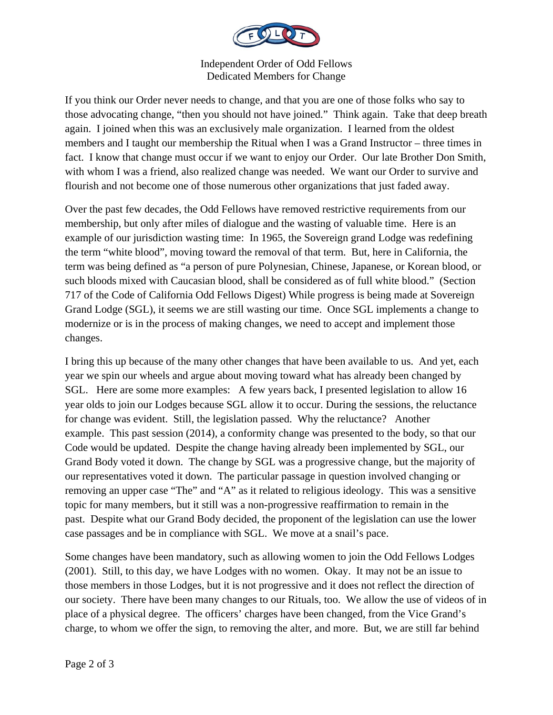

Independent Order of Odd Fellows Dedicated Members for Change

If you think our Order never needs to change, and that you are one of those folks who say to those advocating change, "then you should not have joined." Think again. Take that deep breath again. I joined when this was an exclusively male organization. I learned from the oldest members and I taught our membership the Ritual when I was a Grand Instructor – three times in fact. I know that change must occur if we want to enjoy our Order. Our late Brother Don Smith, with whom I was a friend, also realized change was needed. We want our Order to survive and flourish and not become one of those numerous other organizations that just faded away.

Over the past few decades, the Odd Fellows have removed restrictive requirements from our membership, but only after miles of dialogue and the wasting of valuable time. Here is an example of our jurisdiction wasting time: In 1965, the Sovereign grand Lodge was redefining the term "white blood", moving toward the removal of that term. But, here in California, the term was being defined as "a person of pure Polynesian, Chinese, Japanese, or Korean blood, or such bloods mixed with Caucasian blood, shall be considered as of full white blood." (Section 717 of the Code of California Odd Fellows Digest) While progress is being made at Sovereign Grand Lodge (SGL), it seems we are still wasting our time. Once SGL implements a change to modernize or is in the process of making changes, we need to accept and implement those changes.

I bring this up because of the many other changes that have been available to us. And yet, each year we spin our wheels and argue about moving toward what has already been changed by SGL. Here are some more examples: A few years back, I presented legislation to allow 16 year olds to join our Lodges because SGL allow it to occur. During the sessions, the reluctance for change was evident. Still, the legislation passed. Why the reluctance? Another example. This past session (2014), a conformity change was presented to the body, so that our Code would be updated. Despite the change having already been implemented by SGL, our Grand Body voted it down. The change by SGL was a progressive change, but the majority of our representatives voted it down. The particular passage in question involved changing or removing an upper case "The" and "A" as it related to religious ideology. This was a sensitive topic for many members, but it still was a non-progressive reaffirmation to remain in the past. Despite what our Grand Body decided, the proponent of the legislation can use the lower case passages and be in compliance with SGL. We move at a snail's pace.

Some changes have been mandatory, such as allowing women to join the Odd Fellows Lodges (2001). Still, to this day, we have Lodges with no women. Okay. It may not be an issue to those members in those Lodges, but it is not progressive and it does not reflect the direction of our society. There have been many changes to our Rituals, too. We allow the use of videos of in place of a physical degree. The officers' charges have been changed, from the Vice Grand's charge, to whom we offer the sign, to removing the alter, and more. But, we are still far behind